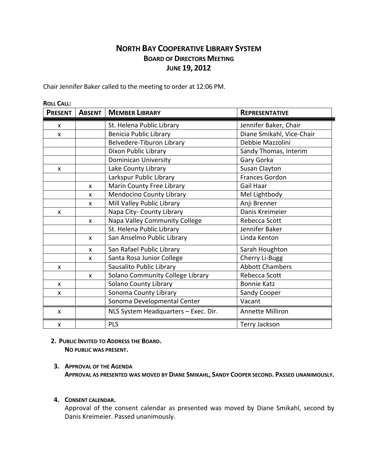# **NORTH BAY COOPERATIVE LIBRARY SYSTEM BOARD OF DIRECTORS MEETING JUNE 19, 2012**

Chair Jennifer Baker called to the meeting to order at 12:06 PM.

| <b>ROLL CALL:</b> |               |                                      |                           |
|-------------------|---------------|--------------------------------------|---------------------------|
| <b>PRESENT</b>    | <b>ABSENT</b> | <b>MEMBER LIBRARY</b>                | <b>REPRESENTATIVE</b>     |
| X                 |               | St. Helena Public Library            | Jennifer Baker, Chair     |
| $\mathsf{x}$      |               | <b>Benicia Public Library</b>        | Diane Smikahl, Vice-Chair |
|                   |               | Belvedere-Tiburon Library            | Debbie Mazzolini          |
|                   |               | Dixon Public Library                 | Sandy Thomas, Interim     |
|                   |               | <b>Dominican University</b>          | Gary Gorka                |
| X                 |               | Lake County Library                  | Susan Clayton             |
|                   |               | Larkspur Public Library              | <b>Frances Gordon</b>     |
|                   | X             | Marin County Free Library            | Gail Haar                 |
|                   | X             | <b>Mendocino County Library</b>      | Mel Lightbody             |
|                   | X             | Mill Valley Public Library           | Anji Brenner              |
| X                 |               | Napa City- County Library            | Danis Kreimeier           |
|                   | X             | Napa Valley Community College        | Rebecca Scott             |
|                   |               | St. Helena Public Library            | Jennifer Baker            |
|                   | X             | San Anselmo Public Library           | Linda Kenton              |
|                   | X             | San Rafael Public Library            | Sarah Houghton            |
|                   | X             | Santa Rosa Junior College            | Cherry Li-Bugg            |
| X                 |               | Sausalito Public Library             | <b>Abbott Chambers</b>    |
|                   | X             | Solano Community College Library     | Rebecca Scott             |
| X                 |               | <b>Solano County Library</b>         | <b>Bonnie Katz</b>        |
| X                 |               | Sonoma County Library                | Sandy Cooper              |
|                   |               | Sonoma Developmental Center          | Vacant                    |
| X                 |               | NLS System Headquarters - Exec. Dir. | <b>Annette Milliron</b>   |
| $\mathsf{x}$      |               | <b>PLS</b>                           | Terry Jackson             |
|                   |               |                                      |                           |

 **2. PUBLIC INVITED TO ADDRESS THE BOARD. NO PUBLIC WAS PRESENT.**

## **3. APPROVAL OF THE AGENDA**

**APPROVAL AS PRESENTED WAS MOVED BY DIANE SMIKAHL, SANDY COOPER SECOND. PASSED UNANIMOUSLY.**

## **4. CONSENT CALENDAR.**

Approval of the consent calendar as presented was moved by Diane Smikahl, second by Danis Kreimeier. Passed unanimously.